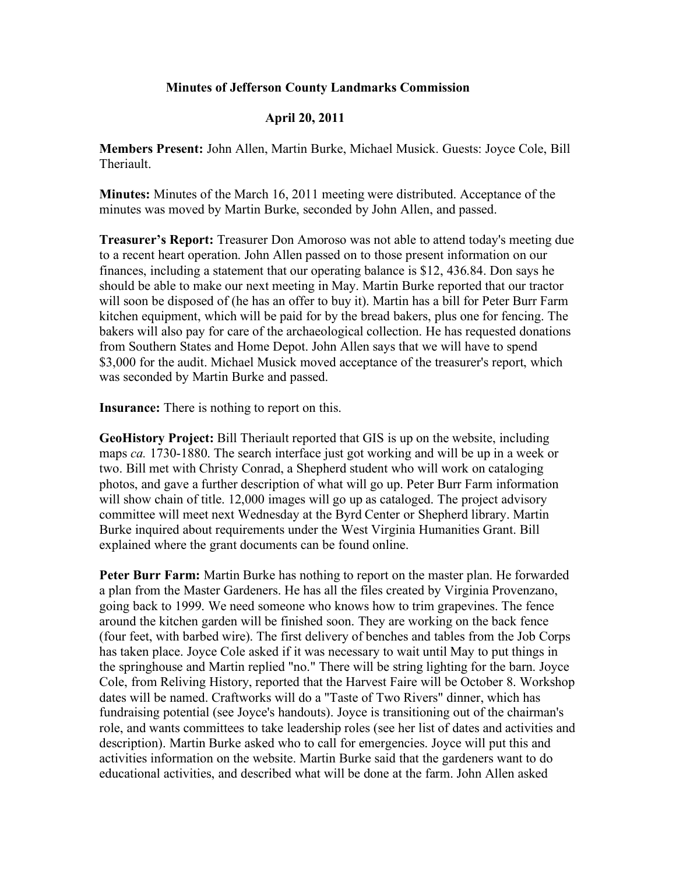## **Minutes of Jefferson County Landmarks Commission**

## **April 20, 2011**

**Members Present:** John Allen, Martin Burke, Michael Musick. Guests: Joyce Cole, Bill **Theriault** 

**Minutes:** Minutes of the March 16, 2011 meeting were distributed. Acceptance of the minutes was moved by Martin Burke, seconded by John Allen, and passed.

**Treasurer's Report:** Treasurer Don Amoroso was not able to attend today's meeting due to a recent heart operation. John Allen passed on to those present information on our finances, including a statement that our operating balance is \$12, 436.84. Don says he should be able to make our next meeting in May. Martin Burke reported that our tractor will soon be disposed of (he has an offer to buy it). Martin has a bill for Peter Burr Farm kitchen equipment, which will be paid for by the bread bakers, plus one for fencing. The bakers will also pay for care of the archaeological collection. He has requested donations from Southern States and Home Depot. John Allen says that we will have to spend \$3,000 for the audit. Michael Musick moved acceptance of the treasurer's report, which was seconded by Martin Burke and passed.

**Insurance:** There is nothing to report on this.

**GeoHistory Project:** Bill Theriault reported that GIS is up on the website, including maps *ca.* 1730-1880. The search interface just got working and will be up in a week or two. Bill met with Christy Conrad, a Shepherd student who will work on cataloging photos, and gave a further description of what will go up. Peter Burr Farm information will show chain of title. 12,000 images will go up as cataloged. The project advisory committee will meet next Wednesday at the Byrd Center or Shepherd library. Martin Burke inquired about requirements under the West Virginia Humanities Grant. Bill explained where the grant documents can be found online.

**Peter Burr Farm:** Martin Burke has nothing to report on the master plan. He forwarded a plan from the Master Gardeners. He has all the files created by Virginia Provenzano, going back to 1999. We need someone who knows how to trim grapevines. The fence around the kitchen garden will be finished soon. They are working on the back fence (four feet, with barbed wire). The first delivery of benches and tables from the Job Corps has taken place. Joyce Cole asked if it was necessary to wait until May to put things in the springhouse and Martin replied "no." There will be string lighting for the barn. Joyce Cole, from Reliving History, reported that the Harvest Faire will be October 8. Workshop dates will be named. Craftworks will do a "Taste of Two Rivers" dinner, which has fundraising potential (see Joyce's handouts). Joyce is transitioning out of the chairman's role, and wants committees to take leadership roles (see her list of dates and activities and description). Martin Burke asked who to call for emergencies. Joyce will put this and activities information on the website. Martin Burke said that the gardeners want to do educational activities, and described what will be done at the farm. John Allen asked